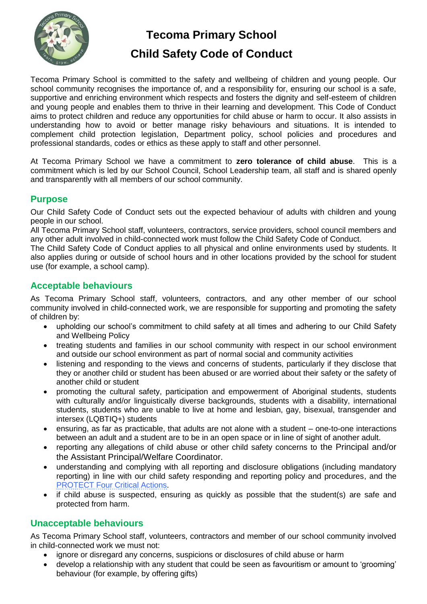

# **Tecoma Primary School**

# **Child Safety Code of Conduct**

Tecoma Primary School is committed to the safety and wellbeing of children and young people. Our school community recognises the importance of, and a responsibility for, ensuring our school is a safe, supportive and enriching environment which respects and fosters the dignity and self-esteem of children and young people and enables them to thrive in their learning and development. This Code of Conduct aims to protect children and reduce any opportunities for child abuse or harm to occur. It also assists in understanding how to avoid or better manage risky behaviours and situations. It is intended to complement child protection legislation, Department policy, school policies and procedures and professional standards, codes or ethics as these apply to staff and other personnel.

At Tecoma Primary School we have a commitment to **zero tolerance of child abuse**. This is a commitment which is led by our School Council, School Leadership team, all staff and is shared openly and transparently with all members of our school community.

#### **Purpose**

Our Child Safety Code of Conduct sets out the expected behaviour of adults with children and young people in our school.

All Tecoma Primary School staff, volunteers, contractors, service providers, school council members and any other adult involved in child-connected work must follow the Child Safety Code of Conduct.

The Child Safety Code of Conduct applies to all physical and online environments used by students. It also applies during or outside of school hours and in other locations provided by the school for student use (for example, a school camp).

### **Acceptable behaviours**

As Tecoma Primary School staff, volunteers, contractors, and any other member of our school community involved in child-connected work, we are responsible for supporting and promoting the safety of children by:

- upholding our school's commitment to child safety at all times and adhering to our Child Safety and Wellbeing Policy
- treating students and families in our school community with respect in our school environment and outside our school environment as part of normal social and community activities
- listening and responding to the views and concerns of students, particularly if they disclose that they or another child or student has been abused or are worried about their safety or the safety of another child or student
- promoting the cultural safety, participation and empowerment of Aboriginal students, students with culturally and/or linguistically diverse backgrounds, students with a disability, international students, students who are unable to live at home and lesbian, gay, bisexual, transgender and intersex (LQBTIQ+) students
- ensuring, as far as practicable, that adults are not alone with a student one-to-one interactions between an adult and a student are to be in an open space or in line of sight of another adult.
- reporting any allegations of child abuse or other child safety concerns to the Principal and/or the Assistant Principal/Welfare Coordinator.
- understanding and complying with all reporting and disclosure obligations (including mandatory reporting) in line with our child safety responding and reporting policy and procedures, and the [PROTECT Four Critical Actions.](https://www.education.vic.gov.au/Documents/about/programs/health/protect/FourCriticalActions_ChildAbuse.pdf)
- if child abuse is suspected, ensuring as quickly as possible that the student(s) are safe and protected from harm.

## **Unacceptable behaviours**

As Tecoma Primary School staff, volunteers, contractors and member of our school community involved in child-connected work we must not:

- ignore or disregard any concerns, suspicions or disclosures of child abuse or harm
- develop a relationship with any student that could be seen as favouritism or amount to 'grooming' behaviour (for example, by offering gifts)